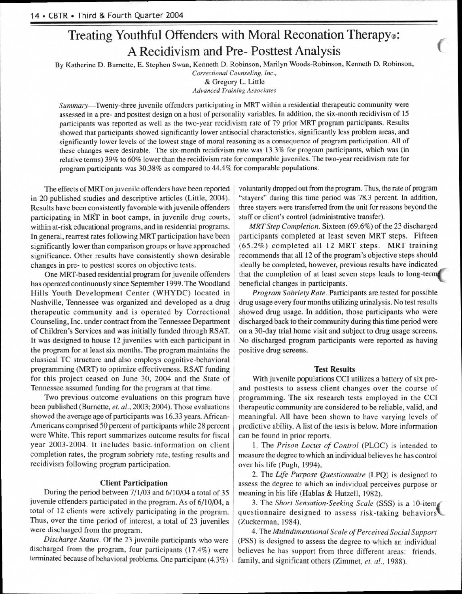# Treating Youthful Offenders with Moral Reconation Therapy®: A Recidivism and Pre- Posttest Analysis

By Katherine D. Burnette, E. Stephen Swan, Kenneth D. Robinson, Marilyn Woods-Robinson, Kenneth D. Robinson,

*Correctional Counseling, Inc.,*  & Gregory L. Little *Advanced Training Associates* 

Summary—Twenty-three juvenile offenders participating in MRT within a residential therapeutic community were assessed in a pre- and posttest design on a host of personality variables. In addition, the six-month recidivism of 15 participants was reported as well as the two-year recidivism rate of 79 prior MRT program participants. Results showed that participants showed significantly lower antisocial characteristics, significantly less problem areas, and significantly lower levels of the lowest stage of moral reasoning as a consequence of program participation. All of these changes were desirable. The six-month recidivism rate was 13.3% for program participants, which was (in relative terms) 39% to 60% lower than the recidivism rate for comparable juveniles. The two-year recidivism rate for program participants was 30.38% as compared to 44.4% for comparable populations.

The effects of MRT on juvenile offenders have been reported in 20 published studies and descriptive articles (Little, 2004). Results have been consistently favorable with juvenile offenders participating in MRT in boot camps, in juvenile drug courts, within at-risk educational programs, and in residential programs. In general, rearrest rates following MRT participation have been significantly lower than comparison groups or have approached significance. Other results have consistently shown desirable changes in pre- to posttest scores on objective tests.

One MRT-based residential program for juvenile offenders has operated continuously since September 1999. The Woodland Hills Youth Development Center (WHYDC) located in Nashville, Tennessee was organized and developed as a drug therapeutic community and is operated by Correctional Counseling, Inc. under contract from the Tennessee Department of Children's Services and was initially funded through RSAT. It was designed to house 12 juveniles with each participant in the program for at least six months. The program maintains the classical TC structure and also employs cognitive-behavioral programming (MRT) to optimize effectiveness. RSAT funding for this project ceased on June 30, 2004 and the State of Tennessee assumed funding for the program at that time.

Two previous outcome evaluations on this program have been published (Barnette, *et. al.,* 2003; 2004). Those evaluations showed the average age of participants was 16.33 years. African-Americans comprised 50 percent of participants while 28 percent were White. This report summarizes outcome results for fiscal year 2003-2004. It includes basic-information on client completion rates, the program sobriety rate, testing results and recidivism following program participation.

## Client Participation

During the period between 7/1/03 and 6/10/04 a total of 35 juvenile offenders participated in the program. As of 6/10/04, a total of 12 clients were actively participating in the program. Thus, over the time period of interest, a total of 23 juveniles were discharged from the program.

*Discharge Status.* Of the 23 juvenile participants who were discharged from the program, four participants (17.4%) were terminated because of behavioral problems. One participant (4.3%) voluntarily dropped out from the program. Thus, the rate of program "stayers" during this time period was 78.3 percent. In addition, three stayers were transferred from the unit for reasons beyond the staff or client's control (administrative transfer).

*MRT Step Completion.* Sixteen (69.6%) of the 23 discharged participants completed at least seven MRT steps. Fifteen (65.2%) completed all 12 MRT steps. MRT training recommends that all 12 of the program's objective steps should ideally be completed, however, previous results have indicated that the completion of at least seven steps leads to long-terny beneficial changes in participants.

*Program Sobriety Rate.* Participants are tested for possible drug usage every four months utilizing urinalysis. No test results showed drug usage. In addition, those participants who were discharged back to their community during this time period were on a 30-day trial home visit and subject to drug usage screens. No discharged program participants were reported as having positive drug screens.

### Test Results

With juvenile populations CCI utilizes a battery of six preand posttests to assess client changes over the course of programming. The six research tests employed in the CCI therapeutic community are considered to be reliable, valid, and meaningful. All have been shown to have varying levels of predictive ability. A list of the tests is below. More information can be found in prior reports.

1. The *Prison Locus of Control* (PLOC) is intended to measure the degree to which an individual believes he has control over his life (Pugh, 1994).

2. The *Life Purpose Questionnaire* (LPQ) is designed to assess the degree to which an individual perceives purpose or meaning in his life (Hablas & Hutzell, 1982).

3. The *Short Sensation-Seeking Scale (SSS) is* a 10-item( questionnaire designed to assess risk-taking behaviors (Zuckerman, 1984).

4. The *Multidimensional Scale of Perceived Social Support*  (PSS) is designed to assess the degree to which an individual believes he has support from three different areas: friends, family, and significant others (Zimmet, *et. al.,* 1988).